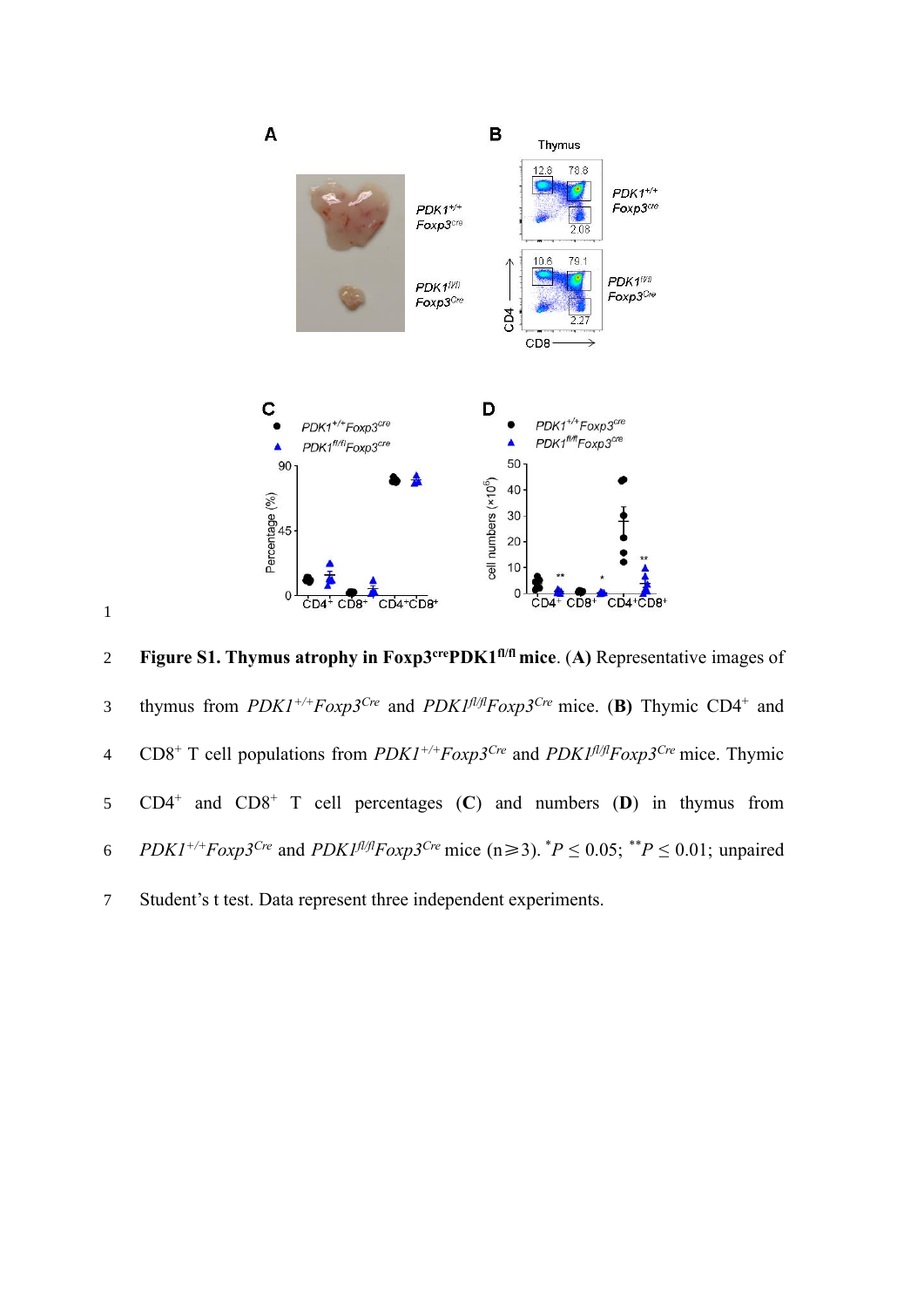

1

**Figure S1. Thymus atrophy in Foxp3**<sup>cre</sup>**PDK1<sup>f1/fl</sup> mice.** (A) Representative images of thymus from *PDK1+/+Foxp3Cre* and *PDK1fl/flFoxp3Cre* mice. (**B)** Thymic CD4<sup>+</sup> 3 and 4  $CD8^+$  T cell populations from  $PDK1^{+/+}Foxp3^{Cre}$  and  $PDK1^{f l/f}Foxp3^{Cre}$  mice. Thymic 5 CD4<sup>+</sup> and CD8<sup>+</sup> T cell percentages (C) and numbers (D) in thymus from *6 PDK1<sup>+/+</sup>Foxp3<sup>Cre</sup>* and *PDK1<sup><i>fl/fl*</sup>*Foxp3<sup>Cre</sup>* mice (n≥3). \**P* ≤ 0.05; \*\**P* ≤ 0.01; unpaired 7 Student's t test. Data represent three independent experiments.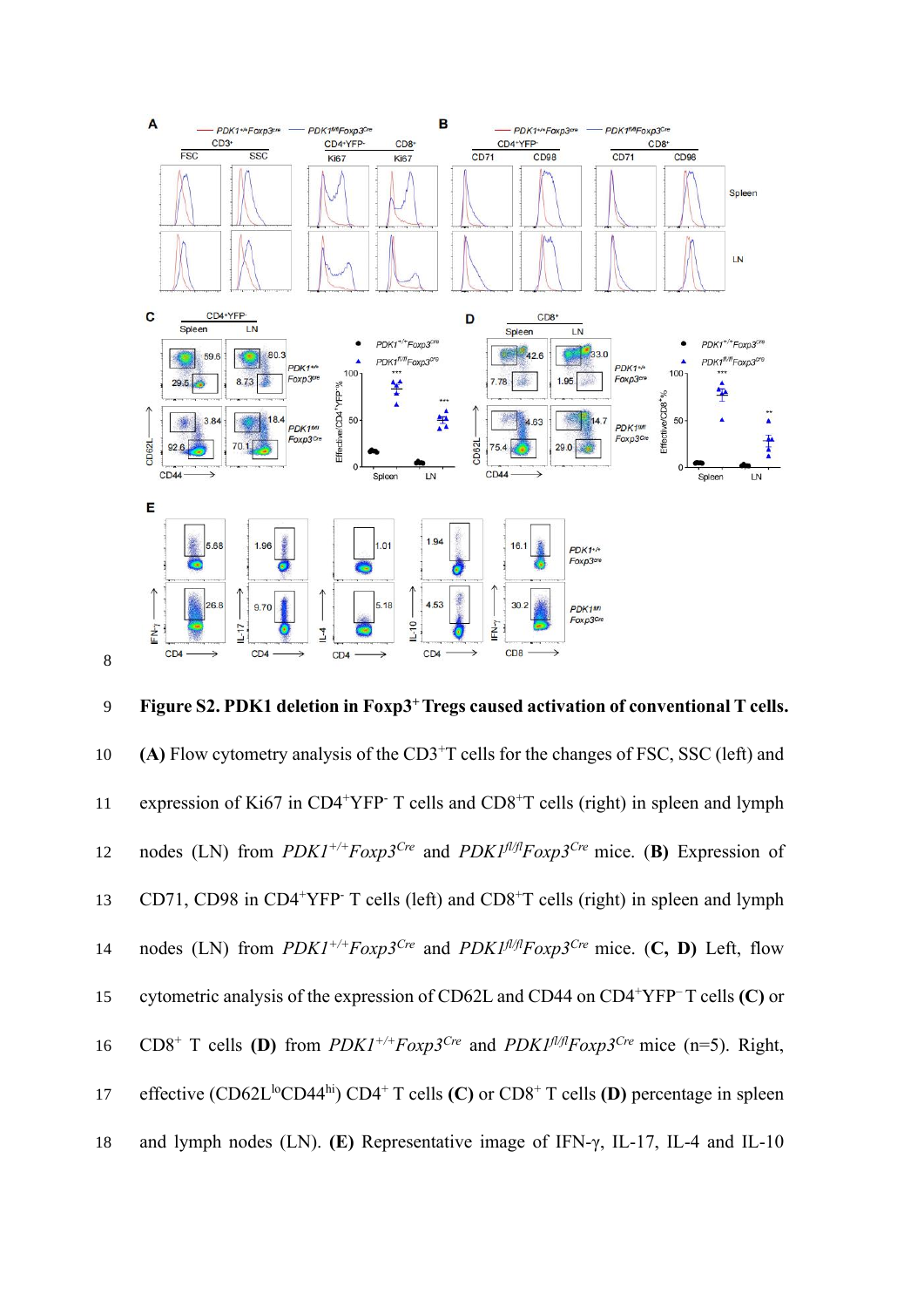

**Figure S2. PDK1 deletion in Foxp3<sup>+</sup>**9 **Tregs caused activation of conventional T cells.**  10 (A) Flow cytometry analysis of the CD3<sup>+</sup>T cells for the changes of FSC, SSC (left) and 11 expression of Ki67 in CD4<sup>+</sup>YFP<sup>-</sup> T cells and CD8<sup>+</sup>T cells (right) in spleen and lymph 12 nodes (LN) from  $PDK1^{+/+}F\alpha xp3^{Cre}$  and  $PDK1^{f l/f}F\alpha xp3^{Cre}$  mice. (**B)** Expression of 13 CD71, CD98 in CD4<sup>+</sup>YFP<sup>-</sup> T cells (left) and CD8<sup>+</sup>T cells (right) in spleen and lymph 14 nodes (LN) from  $PDK1^{+/+}Foxp3^{Cre}$  and  $PDK1^{f l/f}Foxp3^{Cre}$  mice. (**C, D)** Left, flow 15 cytometric analysis of the expression of CD62L and CD44 on CD4<sup>+</sup>YFP<sup>-</sup>T cells **(C)** or 16 CD8<sup>+</sup> T cells **(D)** from  $PDK1^{+/+}FoxD3^{Cre}$  and  $PDK1^{1/f}FoxD3^{Cre}$  mice (n=5). Right, 17 effective  $(CD62L^{lo}CD44^{hi})$   $CD4+T$  cells  $(C)$  or  $CD8+T$  cells  $(D)$  percentage in spleen 18 and lymph nodes (LN). **(E)** Representative image of IFN-γ, IL-17, IL-4 and IL-10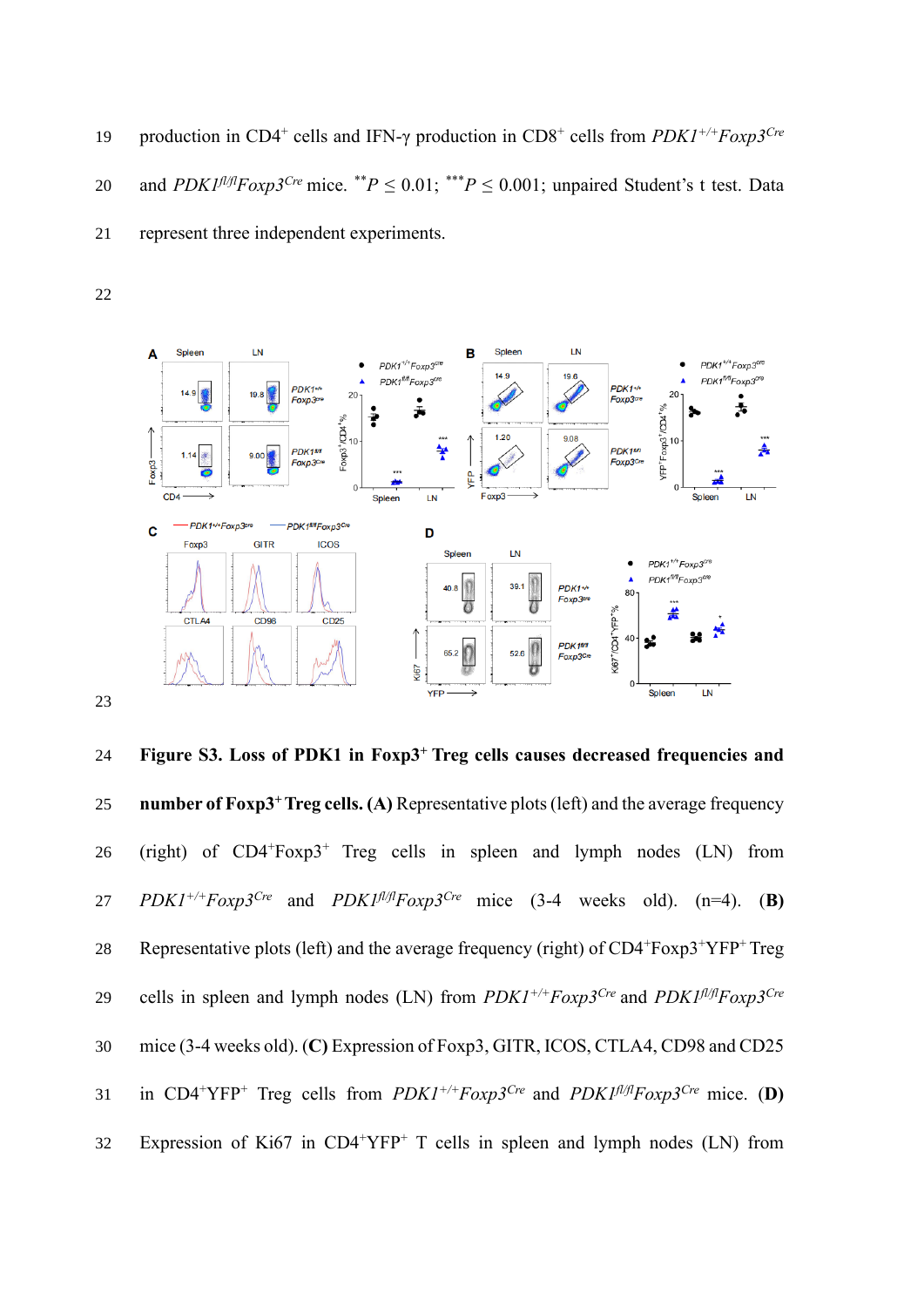19 production in CD4<sup>+</sup> cells and IFN-γ production in CD8<sup>+</sup> cells from *PDK1<sup>+/+</sup>Foxp3<sup>Cre</sup>* 20 and *PDK1<sup>* $\pi$ *J/f</sup>Foxp3<sup>Cre</sup>* mice. \*\**P*  $\leq$  0.01; \*\*\**P*  $\leq$  0.001; unpaired Student's t test. Data 21 represent three independent experiments.



**Figure S3. Loss of PDK1 in Foxp3<sup>+</sup>**24 **Treg cells causes decreased frequencies and**  25 **number of Foxp3<sup>+</sup> Treg cells. (A)** Representative plots (left) and the average frequency 26 (right) of  $CD4+F\alpha p3+T\gamma$  Treg cells in spleen and lymph nodes (LN) from *PDK1<sup>+/+</sup>Foxp3<sup>Cre</sup>* and *PDK1<sup>fl/fl</sup>Foxp3<sup>Cre</sup>* mice (3-4 weeks old). (n=4). (**B**) 28 Representative plots (left) and the average frequency (right) of  $CD4+F\alpha p3+YFP+Treg$ 29 cells in spleen and lymph nodes (LN) from  $PDK1^{+/+}Foxp3^{Cre}$  and  $PDK1^{f/f/f}Foxp3^{Cre}$ 30 mice (3-4 weeks old). (**C)** Expression of Foxp3, GITR, ICOS, CTLA4, CD98 and CD25 31 in CD4<sup>+</sup>YFP<sup>+</sup> Treg cells from  $PDK1^{+/+}Foxp3^{Cre}$  and  $PDK1^{f/f}Foxp3^{Cre}$  mice. (D) 32 Expression of Ki67 in  $CD4+YFP+T$  cells in spleen and lymph nodes (LN) from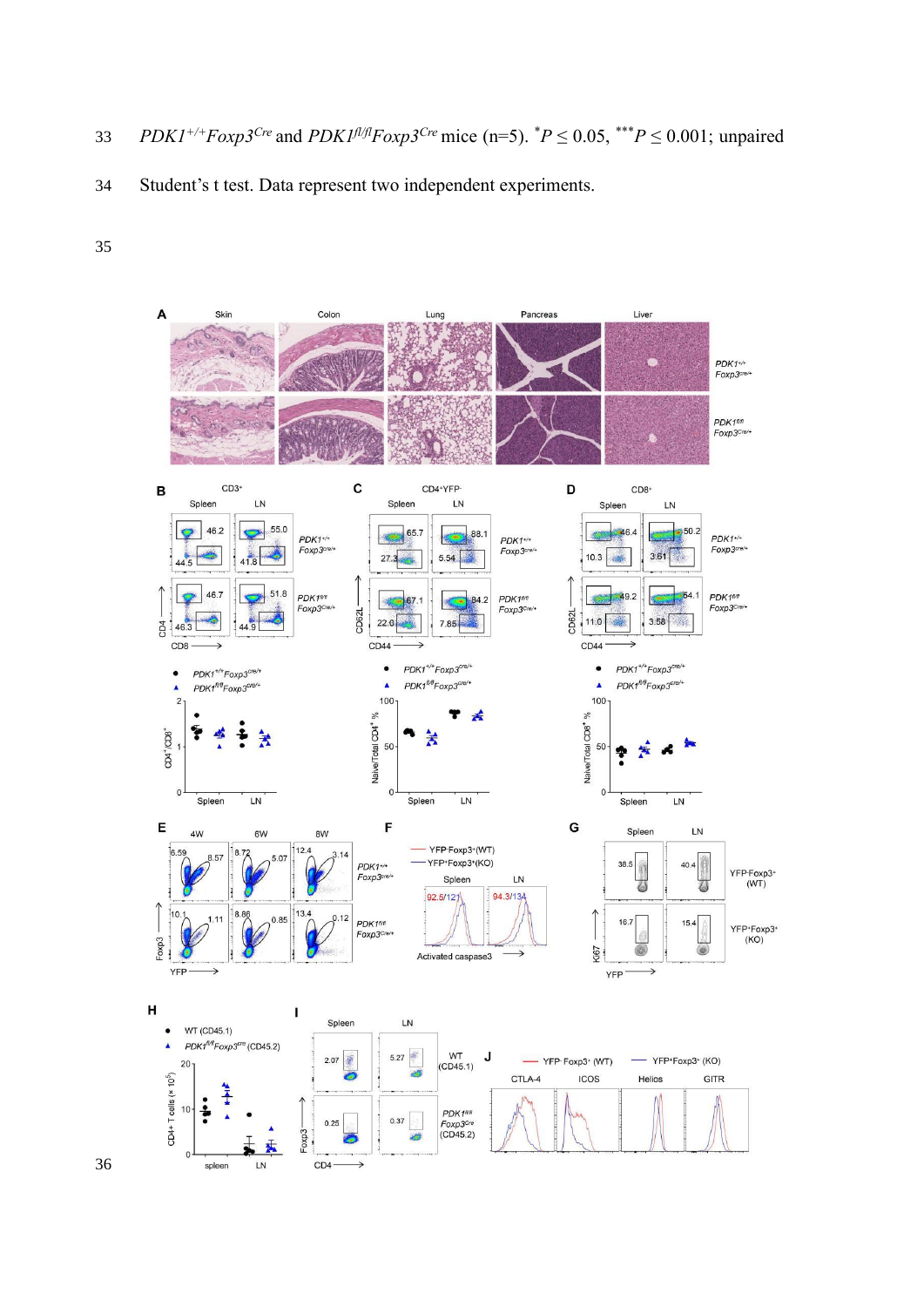33 *PDK1<sup>+/+</sup>Foxp3<sup>Cre</sup>* and *PDK1<sup><i>fl/fl*</sup>Foxp3<sup>Cre</sup> mice (n=5). <sup>\*</sup>*P* ≤ 0.05, <sup>\*\*\*</sup>*P* ≤ 0.001; unpaired

Student's t test. Data represent two independent experiments.

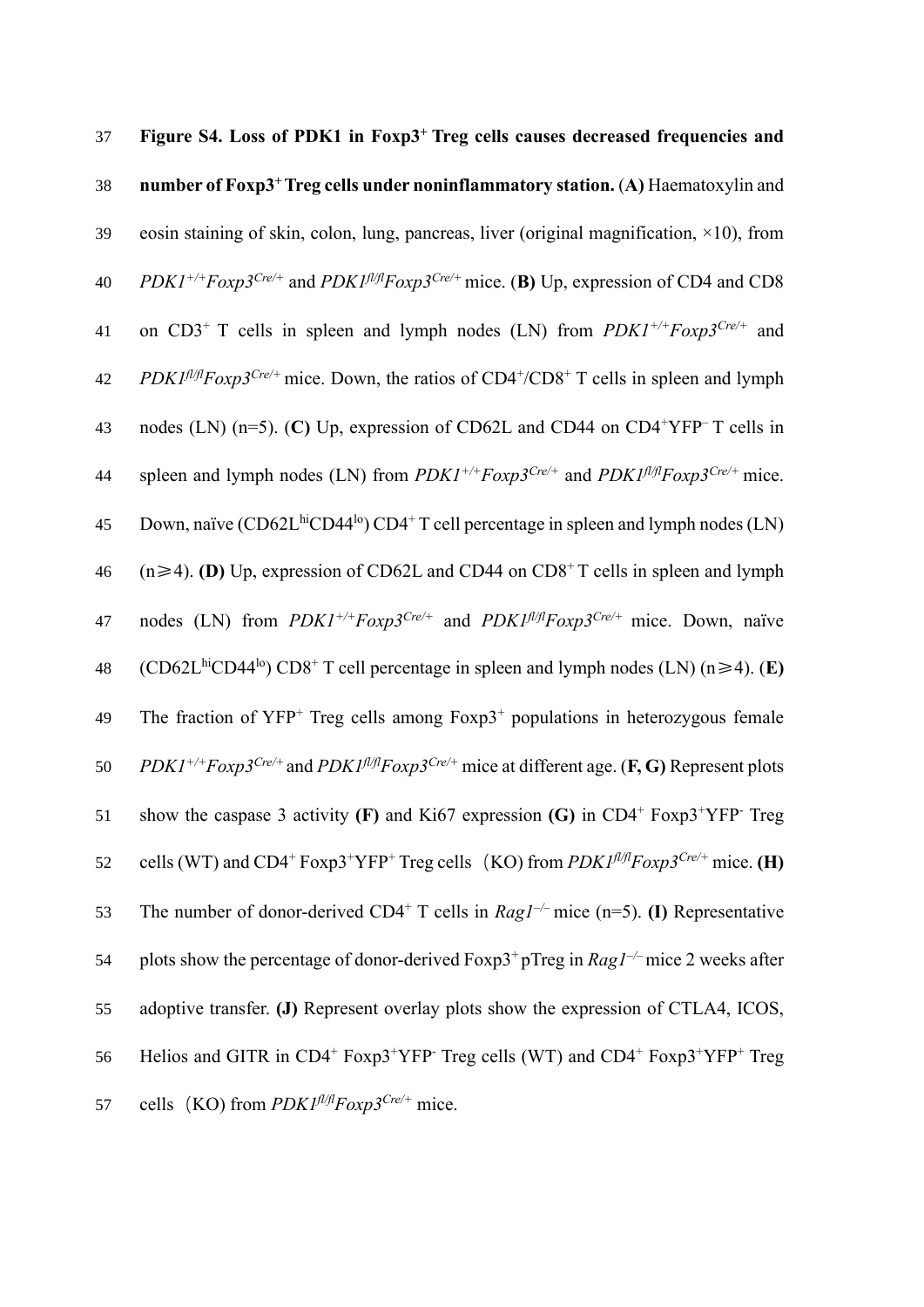| 37 | Figure S4. Loss of PDK1 in Foxp3 <sup>+</sup> Treg cells causes decreased frequencies and                                                             |
|----|-------------------------------------------------------------------------------------------------------------------------------------------------------|
| 38 | number of Foxp3 <sup>+</sup> Treg cells under noninflammatory station. (A) Haematoxylin and                                                           |
| 39 | eosin staining of skin, colon, lung, pancreas, liver (original magnification, ×10), from                                                              |
| 40 | $PDKI^{+/+}Foxp3^{Cre/+}$ and $PDKI^{f l/f}Foxp3^{Cre/+}$ mice. (B) Up, expression of CD4 and CD8                                                     |
| 41 | on CD3 <sup>+</sup> T cells in spleen and lymph nodes (LN) from $PDK1^{+/+}Foxp3^{Cre/+}$ and                                                         |
| 42 | PDK1fl/flFoxp3 <sup>Cre/+</sup> mice. Down, the ratios of CD4 <sup>+</sup> /CD8 <sup>+</sup> T cells in spleen and lymph                              |
| 43 | nodes (LN) (n=5). (C) Up, expression of CD62L and CD44 on CD4 <sup>+</sup> YFP <sup>-</sup> T cells in                                                |
| 44 | spleen and lymph nodes (LN) from $PDK1^{+/+}Foxp3^{Cre/+}$ and $PDK1^{f l/f}Foxp3^{Cre/+}$ mice.                                                      |
| 45 | Down, naïve (CD62L <sup>hi</sup> CD44 <sup>lo</sup> ) CD4 <sup>+</sup> T cell percentage in spleen and lymph nodes (LN)                               |
| 46 | $(n \ge 4)$ . (D) Up, expression of CD62L and CD44 on CD8 <sup>+</sup> T cells in spleen and lymph                                                    |
| 47 | nodes (LN) from $PDKI^{+/+}Foxp3^{Crel+}$ and $PDKI^{f/f}Foxp3^{Crel+}$ mice. Down, naïve                                                             |
| 48 | (CD62L <sup>hi</sup> CD44 <sup>lo</sup> ) CD8 <sup>+</sup> T cell percentage in spleen and lymph nodes (LN) (n $\geq$ 4). (E)                         |
| 49 | The fraction of $YFP^+$ Treg cells among $F\alpha p3^+$ populations in heterozygous female                                                            |
| 50 | $PDK1^{+/+}Foxp3^{Cre/+}$ and $PDK1^{f l/f l}Foxp3^{Cre/+}$ mice at different age. (F, G) Represent plots                                             |
| 51 | show the caspase 3 activity (F) and Ki67 expression (G) in $CD4^+$ Foxp3 <sup>+</sup> YFP <sup>-</sup> Treg                                           |
| 52 | cells (WT) and CD4 <sup>+</sup> Foxp3 <sup>+</sup> YFP <sup>+</sup> Treg cells (KO) from $PDKI^{\beta/\beta}Foxp3^{Cre/+}$ mice. (H)                  |
| 53 | The number of donor-derived CD4 <sup>+</sup> T cells in $RagI^{-/-}$ mice (n=5). (I) Representative                                                   |
| 54 | plots show the percentage of donor-derived Foxp3 <sup>+</sup> pTreg in $RagI^{-/-}$ mice 2 weeks after                                                |
| 55 | adoptive transfer. (J) Represent overlay plots show the expression of CTLA4, ICOS,                                                                    |
| 56 | Helios and GITR in CD4 <sup>+</sup> Foxp3 <sup>+</sup> YFP <sup>-</sup> Treg cells (WT) and CD4 <sup>+</sup> Foxp3 <sup>+</sup> YFP <sup>+</sup> Treg |
| 57 | cells (KO) from $PDKI^{f l/f} F \alpha x p 3^{Cre/+}$ mice.                                                                                           |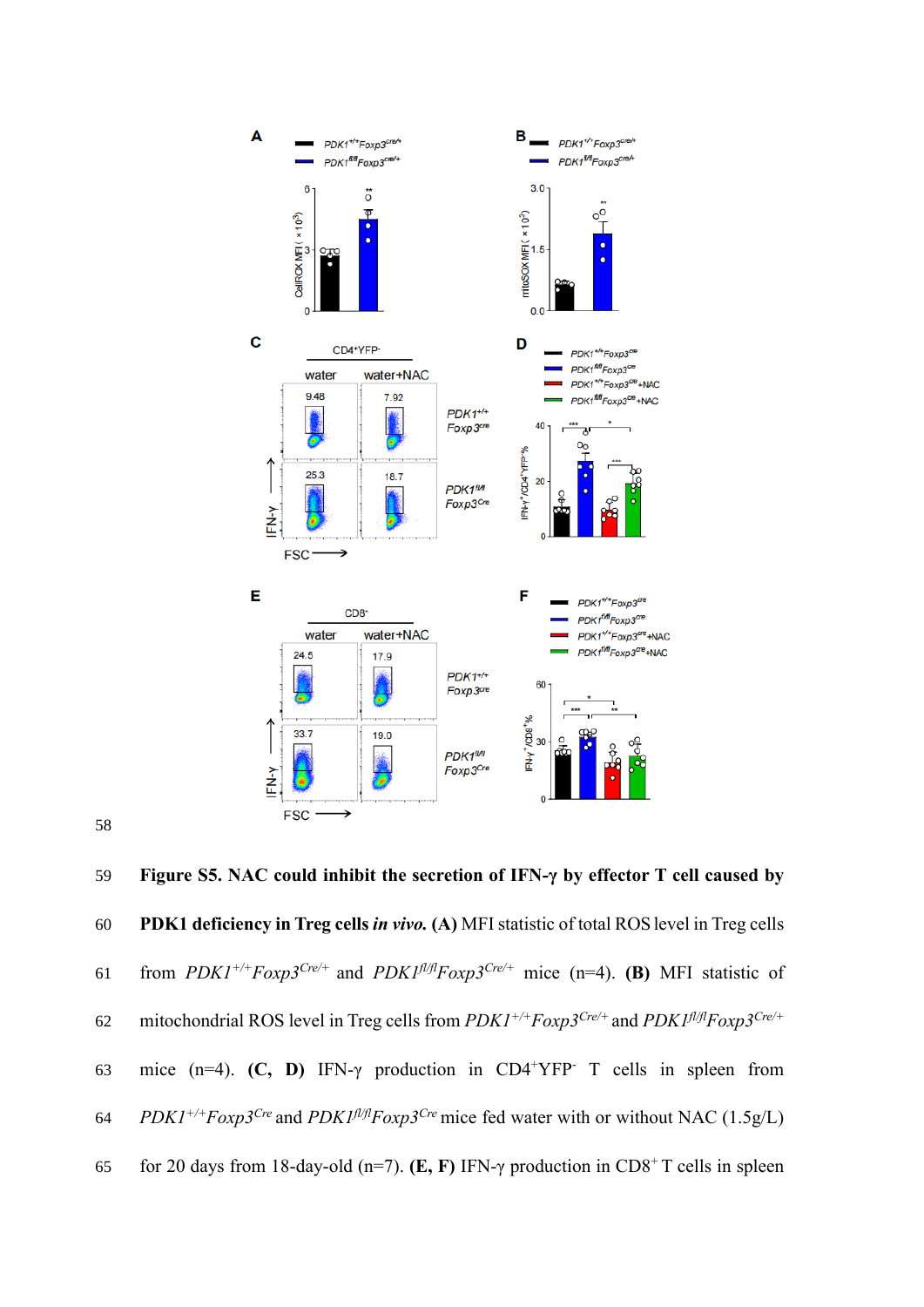



59 **Figure S5. NAC could inhibit the secretion of IFN-γ by effector T cell caused by**  60 **PDK1 deficiency in Treg cells** *in vivo.* **(A)** MFI statistic of total ROSlevel in Treg cells 61 from  $PDK1^{+/+}F\alpha xp3^{Cre/+}$  and  $PDK1^{f1/f}F\alpha xp3^{Cre/+}$  mice (n=4). **(B)** MFI statistic of 62 mitochondrial ROS level in Treg cells from  $PDK1^{+/+}Foxp3^{Cre/+}$  and  $PDK1^{f l/f l}Foxp3^{Cre/+}$ 63 mice  $(n=4)$ . **(C, D)** IFN-γ production in CD4<sup>+</sup>YFP<sup>-</sup> T cells in spleen from 64 *PDK1<sup>+/+</sup>Foxp3<sup>Cre</sup>* and *PDK1<sup>* $f$ *<i>l*</sup>/*fl*</sub>*Foxp3<sup>Cre</sup>* mice fed water with or without NAC (1.5g/L) for 20 days from 18-day-old (n=7). **(E, F)** IFN- $\gamma$  production in CD8<sup>+</sup> T cells in spleen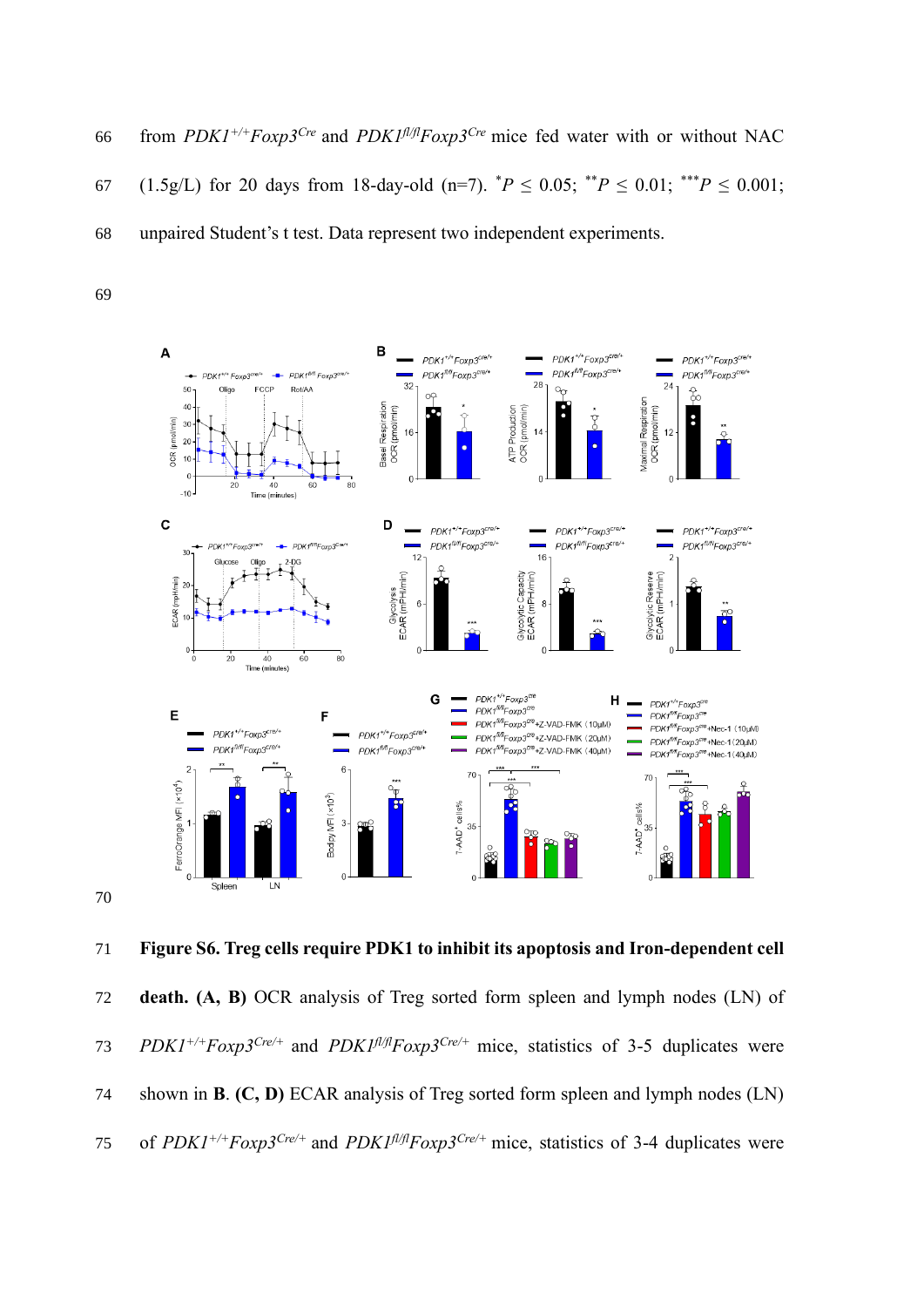66 from  $PDK1^{+/+}Foxp3^{Cre}$  and  $PDK1^{f l/f}Foxp3^{Cre}$  mice fed water with or without NAC 67 (1.5g/L) for 20 days from 18-day-old (n=7).  $^*P \le 0.05$ ;  $^{**}P \le 0.01$ ;  $^{***}P \le 0.001$ ; unpaired Student's t test. Data represent two independent experiments.



 **Figure S6. Treg cells require PDK1 to inhibit its apoptosis and Iron-dependent cell death. (A, B)** OCR analysis of Treg sorted form spleen and lymph nodes (LN) of *PDK1+/+Foxp3Cre/+* and *PDK1fl/flFoxp3 Cre/+* mice, statistics of 3-5 duplicates were shown in **B**. **(C, D)** ECAR analysis of Treg sorted form spleen and lymph nodes (LN) of *PDK1+/+Foxp3Cre/+* and *PDK1fl/flFoxp3 Cre/+* mice, statistics of 3-4 duplicates were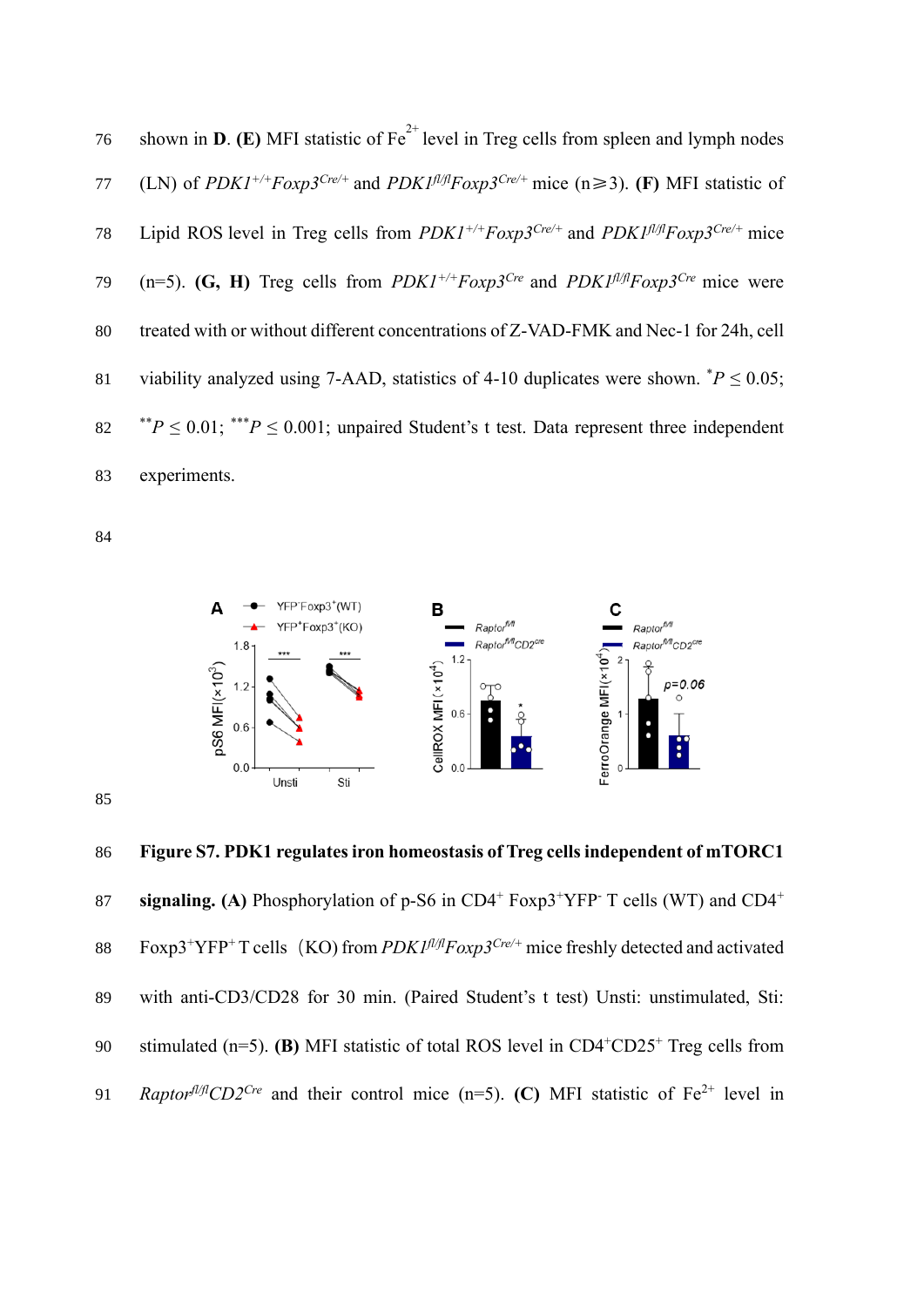|    | 76 shown in <b>D</b> . (E) MFI statistic of $Fe^{2+}$ level in Treg cells from spleen and lymph nodes                                                 |
|----|-------------------------------------------------------------------------------------------------------------------------------------------------------|
| 77 | (LN) of <i>PDK1<sup>+/+</sup>Foxp3<sup>Cre/+</sup></i> and <i>PDK1<sup>fl/ft</sup>Foxp3<sup>Cre/+</sup> mice</i> (n≥3). ( <b>F</b> ) MFI statistic of |
| 78 | Lipid ROS level in Treg cells from $PDK1^{+/+}Foxp3^{Cre/+}$ and $PDK1^{f/f}Foxp3^{Cre/+}$ mice                                                       |
|    | 79 (n=5). (G, H) Treg cells from PDK1 <sup>+/+</sup> Foxp3 <sup>Cre</sup> and PDK1 <sup>fl/f</sup> Foxp3 <sup>Cre</sup> mice were                     |
| 80 | treated with or without different concentrations of Z-VAD-FMK and Nec-1 for 24h, cell                                                                 |
| 81 | viability analyzed using 7-AAD, statistics of 4-10 duplicates were shown. $^*P \le 0.05$ ;                                                            |
|    | 82 ** $P \le 0.01$ ; *** $P \le 0.001$ ; unpaired Student's t test. Data represent three independent                                                  |
| 83 | experiments.                                                                                                                                          |



 **Figure S7. PDK1 regulates iron homeostasis of Treg cells independent of mTORC1 signaling. (A)** Phosphorylation of p-S6 in  $CD4^+$  Foxp3<sup>+</sup>YFP<sup>-</sup> T cells (WT) and  $CD4^+$  Foxp3<sup>+</sup>YFP<sup>+</sup> T cells (KO) from *PDK1<sup>fl/fl</sup>Foxp3<sup>Cre/+</sup>* mice freshly detected and activated with anti-CD3/CD28 for 30 min. (Paired Student's t test) Unsti: unstimulated, Sti: 90 stimulated  $(n=5)$ . **(B)** MFI statistic of total ROS level in  $CD4+CD25+$  Treg cells from *P1 Raptor*<sup> $fU/fI$ </sup>*CD2<sup><i>Cre*</sup> and their control mice (n=5). **(C)** MFI statistic of Fe<sup>2+</sup> level in